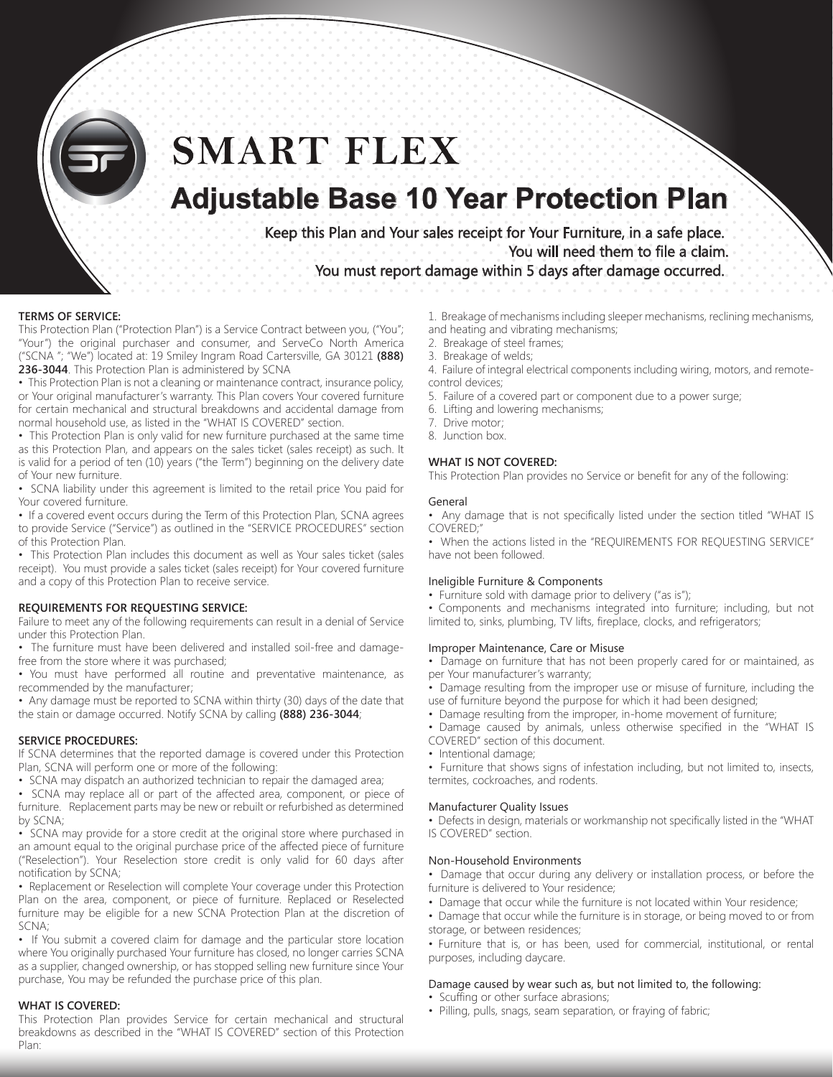

# **SMART FLEX**

## **Adjustable Base 10 Year Protection Plan**

Keep this Plan and Your sales receipt for Your Furniture, in a safe place. You will need them to file a claim. You must report damage within 5 days after damage occurred.

#### **TERMS OF SERVICE:**

This Protection Plan ("Protection Plan") is a Service Contract between you, ("You"; "Your") the original purchaser and consumer, and ServeCo North America ("SCNA "; "We") located at: 19 Smiley Ingram Road Cartersville, GA 30121 **(888) 236-3044**. This Protection Plan is administered by SCNA

• This Protection Plan is not a cleaning or maintenance contract, insurance policy, or Your original manufacturer's warranty. This Plan covers Your covered furniture for certain mechanical and structural breakdowns and accidental damage from normal household use, as listed in the "WHAT IS COVERED" section.

• This Protection Plan is only valid for new furniture purchased at the same time as this Protection Plan, and appears on the sales ticket (sales receipt) as such. It is valid for a period of ten (10) years ("the Term") beginning on the delivery date of Your new furniture.

• SCNA liability under this agreement is limited to the retail price You paid for Your covered furniture.

• If a covered event occurs during the Term of this Protection Plan, SCNA agrees to provide Service ("Service") as outlined in the "SERVICE PROCEDURES" section of this Protection Plan.

• This Protection Plan includes this document as well as Your sales ticket (sales receipt). You must provide a sales ticket (sales receipt) for Your covered furniture and a copy of this Protection Plan to receive service.

#### **REQUIREMENTS FOR REQUESTING SERVICE:**

Failure to meet any of the following requirements can result in a denial of Service under this Protection Plan.

• The furniture must have been delivered and installed soil-free and damagefree from the store where it was purchased;

• You must have performed all routine and preventative maintenance, as recommended by the manufacturer;

• Any damage must be reported to SCNA within thirty (30) days of the date that the stain or damage occurred. Notify SCNA by calling **(888) 236-3044**;

#### **SERVICE PROCEDURES:**

If SCNA determines that the reported damage is covered under this Protection Plan, SCNA will perform one or more of the following:

• SCNA may dispatch an authorized technician to repair the damaged area;

• SCNA may replace all or part of the affected area, component, or piece of furniture. Replacement parts may be new or rebuilt or refurbished as determined by SCNA;

• SCNA may provide for a store credit at the original store where purchased in an amount equal to the original purchase price of the affected piece of furniture ("Reselection"). Your Reselection store credit is only valid for 60 days after notification by SCNA;

• Replacement or Reselection will complete Your coverage under this Protection Plan on the area, component, or piece of furniture. Replaced or Reselected furniture may be eligible for a new SCNA Protection Plan at the discretion of SCNA;

• If You submit a covered claim for damage and the particular store location where You originally purchased Your furniture has closed, no longer carries SCNA as a supplier, changed ownership, or has stopped selling new furniture since Your purchase, You may be refunded the purchase price of this plan.

#### **WHAT IS COVERED:**

This Protection Plan provides Service for certain mechanical and structural breakdowns as described in the "WHAT IS COVERED" section of this Protection Plan:

- 1. Breakage of mechanisms including sleeper mechanisms, reclining mechanisms, and heating and vibrating mechanisms;
	- 2. Breakage of steel frames;
	- 3. Breakage of welds;
	- 4. Failure of integral electrical components including wiring, motors, and remotecontrol devices;
	- 5. Failure of a covered part or component due to a power surge;
	- 6. Lifting and lowering mechanisms;
	- 7. Drive motor;
	- 8. Junction box.

#### **WHAT IS NOT COVERED:**

This Protection Plan provides no Service or benefit for any of the following:

#### General

• Any damage that is not specifically listed under the section titled "WHAT IS COVERED;"

• When the actions listed in the "REQUIREMENTS FOR REQUESTING SERVICE" have not been followed.

#### Ineligible Furniture & Components

- Furniture sold with damage prior to delivery ("as is");
- Components and mechanisms integrated into furniture; including, but not limited to, sinks, plumbing, TV lifts, fireplace, clocks, and refrigerators;

#### Improper Maintenance, Care or Misuse

• Damage on furniture that has not been properly cared for or maintained, as per Your manufacturer's warranty;

• Damage resulting from the improper use or misuse of furniture, including the use of furniture beyond the purpose for which it had been designed;

• Damage resulting from the improper, in-home movement of furniture;

• Damage caused by animals, unless otherwise specified in the "WHAT IS COVERED" section of this document.

• Intentional damage;

• Furniture that shows signs of infestation including, but not limited to, insects, termites, cockroaches, and rodents.

#### Manufacturer Quality Issues

• Defects in design, materials or workmanship not specifically listed in the "WHAT IS COVERED" section.

#### Non-Household Environments

• Damage that occur during any delivery or installation process, or before the furniture is delivered to Your residence;

- Damage that occur while the furniture is not located within Your residence;
- Damage that occur while the furniture is in storage, or being moved to or from storage, or between residences;

• Furniture that is, or has been, used for commercial, institutional, or rental purposes, including daycare.

#### Damage caused by wear such as, but not limited to, the following:

- Scuffing or other surface abrasions;
- Pilling, pulls, snags, seam separation, or fraying of fabric;